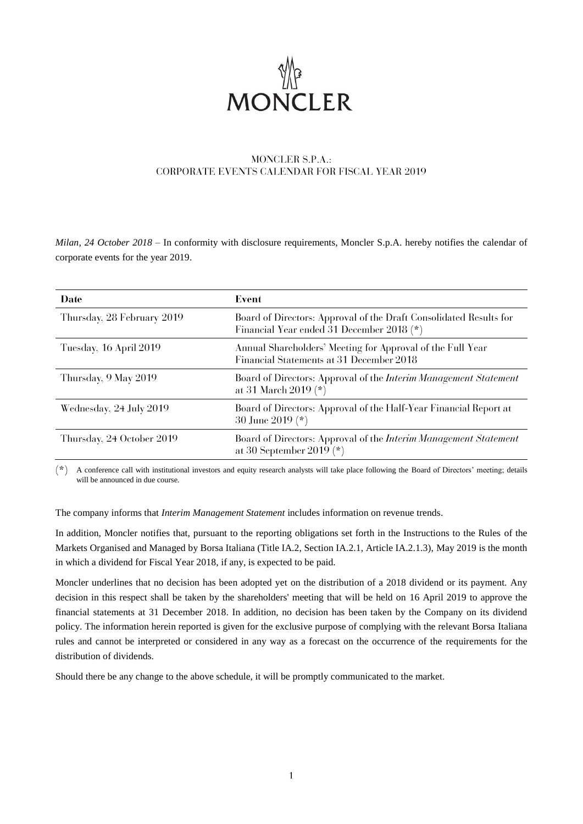

# MONCLER S.P.A.: **CORPORATE EVENTS CALENDAR FOR FISCAL YEAR 2019**

*Milan, 24 October 2018* – In conformity with disclosure requirements, Moncler S.p.A. hereby notifies the calendar of corporate events for the year 2019.

| Date                       | Event                                                                                                           |
|----------------------------|-----------------------------------------------------------------------------------------------------------------|
| Thursday, 28 February 2019 | Board of Directors: Approval of the Draft Consolidated Results for<br>Financial Year ended 31 December 2018 (*) |
| Tuesday, 16 April 2019     | Annual Shareholders' Meeting for Approval of the Full Year<br>Financial Statements at 31 December 2018          |
| Thursday, 9 May 2019       | Board of Directors: Approval of the <i>Interim Management Statement</i><br>at 31 March 2019 $(*)$               |
| Wednesday, 24 July 2019    | Board of Directors: Approval of the Half-Year Financial Report at<br>30 June 2019 (*)                           |
| Thursday, 24 October 2019  | Board of Directors: Approval of the <i>Interim Management Statement</i><br>at 30 September 2019 $(*)$           |

 $*$  A conference call with institutional investors and equity research analysts will take place following the Board of Directors' meeting; details will be announced in due course.

The company informs that *Interim Management Statement* includes information on revenue trends.

In addition, Moncler notifies that, pursuant to the reporting obligations set forth in the Instructions to the Rules of the Markets Organised and Managed by Borsa Italiana (Title IA.2, Section IA.2.1, Article IA.2.1.3), May 2019 is the month in which a dividend for Fiscal Year 2018, if any, is expected to be paid.

Moncler underlines that no decision has been adopted yet on the distribution of a 2018 dividend or its payment. Any decision in this respect shall be taken by the shareholders' meeting that will be held on 16 April 2019 to approve the financial statements at 31 December 2018. In addition, no decision has been taken by the Company on its dividend policy. The information herein reported is given for the exclusive purpose of complying with the relevant Borsa Italiana rules and cannot be interpreted or considered in any way as a forecast on the occurrence of the requirements for the distribution of dividends.

Should there be any change to the above schedule, it will be promptly communicated to the market.